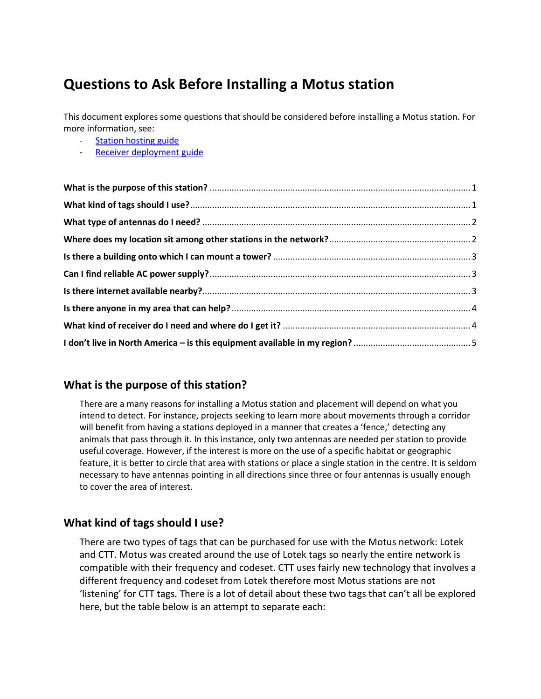# **Questions to Ask Before Installing a Motus station**

This document explores some questions that should be considered before installing a Motus station. For more information, see:

- [Station hosting guide](https://motus.org/wp-content/uploads/2017/08/Motus_LandownerInformation_April2017.pdf)
- [Receiver deployment guide](https://motus.org/receiver-deployment/)

### <span id="page-0-0"></span>**What is the purpose of this station?**

There are a many reasons for installing a Motus station and placement will depend on what you intend to detect. For instance, projects seeking to learn more about movements through a corridor will benefit from having a stations deployed in a manner that creates a 'fence,' detecting any animals that pass through it. In this instance, only two antennas are needed per station to provide useful coverage. However, if the interest is more on the use of a specific habitat or geographic feature, it is better to circle that area with stations or place a single station in the centre. It is seldom necessary to have antennas pointing in all directions since three or four antennas is usually enough to cover the area of interest.

### <span id="page-0-1"></span>**What kind of tags should I use?**

There are two types of tags that can be purchased for use with the Motus network: Lotek and CTT. Motus was created around the use of Lotek tags so nearly the entire network is compatible with their frequency and codeset. CTT uses fairly new technology that involves a different frequency and codeset from Lotek therefore most Motus stations are not 'listening' for CTT tags. There is a lot of detail about these two tags that can't all be explored here, but the table below is an attempt to separate each: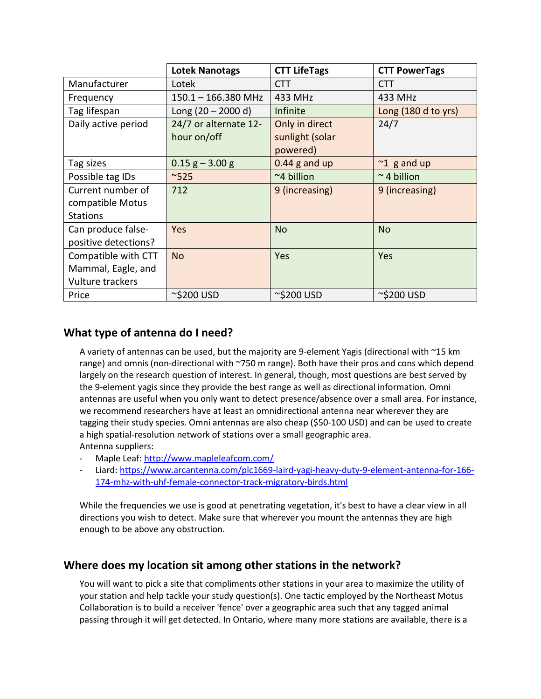|                      | <b>Lotek Nanotags</b> | <b>CTT LifeTags</b> | <b>CTT PowerTags</b> |
|----------------------|-----------------------|---------------------|----------------------|
| Manufacturer         | Lotek                 | <b>CTT</b>          | <b>CTT</b>           |
| Frequency            | $150.1 - 166.380$ MHz | 433 MHz             | 433 MHz              |
| Tag lifespan         | Long $(20 - 2000 d)$  | Infinite            | Long (180 d to yrs)  |
| Daily active period  | 24/7 or alternate 12- | Only in direct      | 24/7                 |
|                      | hour on/off           | sunlight (solar     |                      |
|                      |                       | powered)            |                      |
| Tag sizes            | $0.15$ g – 3.00 g     | $0.44$ g and up     | $\approx$ 1 g and up |
| Possible tag IDs     | ~525                  | ~4 billion          | $\sim$ 4 billion     |
| Current number of    | 712                   | 9 (increasing)      | 9 (increasing)       |
| compatible Motus     |                       |                     |                      |
| <b>Stations</b>      |                       |                     |                      |
| Can produce false-   | Yes                   | <b>No</b>           | <b>No</b>            |
| positive detections? |                       |                     |                      |
| Compatible with CTT  | <b>No</b>             | Yes                 | Yes                  |
| Mammal, Eagle, and   |                       |                     |                      |
| Vulture trackers     |                       |                     |                      |
| Price                | ~\$200 USD            | $\sim$ \$200 USD    | $\sim$ \$200 USD     |

# <span id="page-1-0"></span>**What type of antenna do I need?**

A variety of antennas can be used, but the majority are 9-element Yagis (directional with ~15 km range) and omnis (non-directional with ~750 m range). Both have their pros and cons which depend largely on the research question of interest. In general, though, most questions are best served by the 9-element yagis since they provide the best range as well as directional information. Omni antennas are useful when you only want to detect presence/absence over a small area. For instance, we recommend researchers have at least an omnidirectional antenna near wherever they are tagging their study species. Omni antennas are also cheap (\$50-100 USD) and can be used to create a high spatial-resolution network of stations over a small geographic area. Antenna suppliers:

- Maple Leaf:<http://www.mapleleafcom.com/>
- Liard[: https://www.arcantenna.com/plc1669-laird-yagi-heavy-duty-9-element-antenna-for-166-](https://www.arcantenna.com/plc1669-laird-yagi-heavy-duty-9-element-antenna-for-166-174-mhz-with-uhf-female-connector-track-migratory-birds.html) [174-mhz-with-uhf-female-connector-track-migratory-birds.html](https://www.arcantenna.com/plc1669-laird-yagi-heavy-duty-9-element-antenna-for-166-174-mhz-with-uhf-female-connector-track-migratory-birds.html)

While the frequencies we use is good at penetrating vegetation, it's best to have a clear view in all directions you wish to detect. Make sure that wherever you mount the antennas they are high enough to be above any obstruction.

### <span id="page-1-1"></span>**Where does my location sit among other stations in the network?**

You will want to pick a site that compliments other stations in your area to maximize the utility of your station and help tackle your study question(s). One tactic employed by the Northeast Motus Collaboration is to build a receiver 'fence' over a geographic area such that any tagged animal passing through it will get detected. In Ontario, where many more stations are available, there is a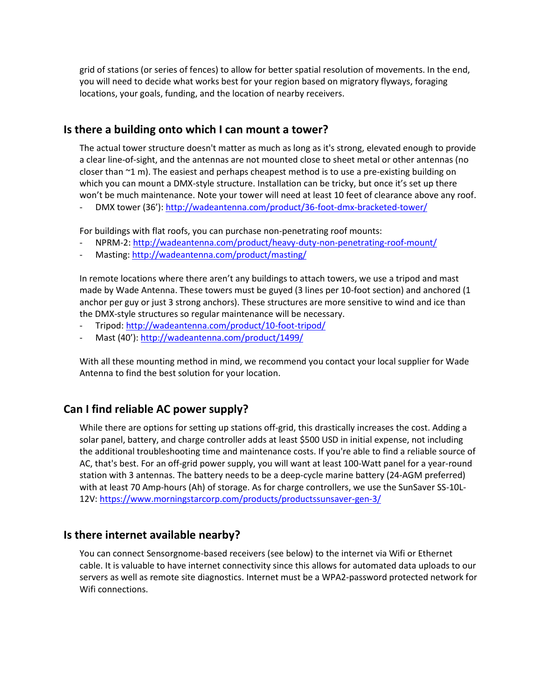grid of stations (or series of fences) to allow for better spatial resolution of movements. In the end, you will need to decide what works best for your region based on migratory flyways, foraging locations, your goals, funding, and the location of nearby receivers.

#### <span id="page-2-0"></span>**Is there a building onto which I can mount a tower?**

The actual tower structure doesn't matter as much as long as it's strong, elevated enough to provide a clear line-of-sight, and the antennas are not mounted close to sheet metal or other antennas (no closer than  $\gamma$ 1 m). The easiest and perhaps cheapest method is to use a pre-existing building on which you can mount a DMX-style structure. Installation can be tricky, but once it's set up there won't be much maintenance. Note your tower will need at least 10 feet of clearance above any roof.

- DMX tower (36')[: http://wadeantenna.com/product/36-foot-dmx-bracketed-tower/](http://wadeantenna.com/product/36-foot-dmx-bracketed-tower/)

For buildings with flat roofs, you can purchase non-penetrating roof mounts:

- NPRM-2[: http://wadeantenna.com/product/heavy-duty-non-penetrating-roof-mount/](http://wadeantenna.com/product/heavy-duty-non-penetrating-roof-mount/)
- Masting[: http://wadeantenna.com/product/masting/](http://wadeantenna.com/product/masting/)

In remote locations where there aren't any buildings to attach towers, we use a tripod and mast made by Wade Antenna. These towers must be guyed (3 lines per 10-foot section) and anchored (1 anchor per guy or just 3 strong anchors). These structures are more sensitive to wind and ice than the DMX-style structures so regular maintenance will be necessary.

- Tripod[: http://wadeantenna.com/product/10-foot-tripod/](http://wadeantenna.com/product/10-foot-tripod/)
- Mast (40'):<http://wadeantenna.com/product/1499/>

With all these mounting method in mind, we recommend you contact your local supplier for Wade Antenna to find the best solution for your location.

### <span id="page-2-1"></span>**Can I find reliable AC power supply?**

While there are options for setting up stations off-grid, this drastically increases the cost. Adding a solar panel, battery, and charge controller adds at least \$500 USD in initial expense, not including the additional troubleshooting time and maintenance costs. If you're able to find a reliable source of AC, that's best. For an off-grid power supply, you will want at least 100-Watt panel for a year-round station with 3 antennas. The battery needs to be a deep-cycle marine battery (24-AGM preferred) with at least 70 Amp-hours (Ah) of storage. As for charge controllers, we use the SunSaver SS-10L-12V: <https://www.morningstarcorp.com/products/productssunsaver-gen-3/>

### <span id="page-2-2"></span>**Is there internet available nearby?**

You can connect Sensorgnome-based receivers (see below) to the internet via Wifi or Ethernet cable. It is valuable to have internet connectivity since this allows for automated data uploads to our servers as well as remote site diagnostics. Internet must be a WPA2-password protected network for Wifi connections.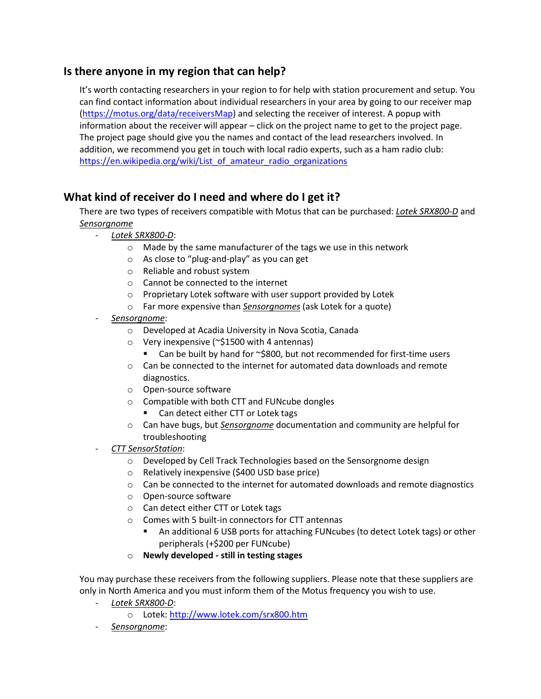# <span id="page-3-0"></span>**Is there anyone in my region that can help?**

It's worth contacting researchers in your region to for help with station procurement and setup. You can find contact information about individual researchers in your area by going to our receiver map [\(https://motus.org/data/receiversMap\)](https://motus.org/data/receiversMap) and selecting the receiver of interest. A popup with information about the receiver will appear – click on the project name to get to the project page. The project page should give you the names and contact of the lead researchers involved. In addition, we recommend you get in touch with local radio experts, such as a ham radio club: [https://en.wikipedia.org/wiki/List\\_of\\_amateur\\_radio\\_organizations](https://en.wikipedia.org/wiki/List_of_amateur_radio_organizations)

# <span id="page-3-1"></span>**What kind of receiver do I need and where do I get it?**

There are two types of receivers compatible with Motus that can be purchased: *Lotek SRX800-D* and *Sensorgnome*

- *Lotek SRX800-D*:
	- o Made by the same manufacturer of the tags we use in this network
	- o As close to "plug-and-play" as you can get
	- o Reliable and robust system
	- o Cannot be connected to the internet
	- o Proprietary Lotek software with user support provided by Lotek
	- o Far more expensive than *Sensorgnomes* (ask Lotek for a quote)
- *Sensorgnome*:
	- o Developed at Acadia University in Nova Scotia, Canada
	- o Very inexpensive (~\$1500 with 4 antennas)
		- Can be built by hand for ~\$800, but not recommended for first-time users
	- $\circ$  Can be connected to the internet for automated data downloads and remote diagnostics.
	- o Open-source software
	- o Compatible with both CTT and FUNcube dongles
		- Can detect either CTT or Lotek tags
	- o Can have bugs, but *Sensorgnome* documentation and community are helpful for troubleshooting
- *CTT SensorStation*:
	- o Developed by Cell Track Technologies based on the Sensorgnome design
	- o Relatively inexpensive (\$400 USD base price)
	- $\circ$  Can be connected to the internet for automated downloads and remote diagnostics
	- o Open-source software
	- o Can detect either CTT or Lotek tags
	- o Comes with 5 built-in connectors for CTT antennas
		- An additional 6 USB ports for attaching FUNcubes (to detect Lotek tags) or other peripherals (+\$200 per FUNcube)
	- o **Newly developed - still in testing stages**

You may purchase these receivers from the following suppliers. Please note that these suppliers are only in North America and you must inform them of the Motus frequency you wish to use.

- *Lotek SRX800-D*:
	- o Lotek:<http://www.lotek.com/srx800.htm>
- *Sensorgnome*: